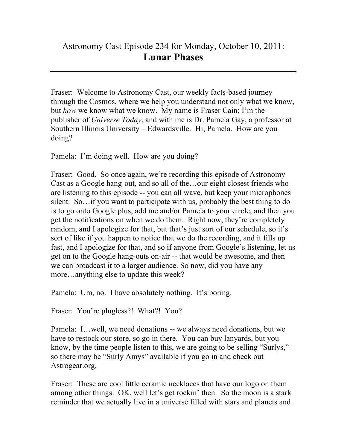## Astronomy Cast Episode 234 for Monday, October 10, 2011: **Lunar Phases**

Fraser: Welcome to Astronomy Cast, our weekly facts-based journey through the Cosmos, where we help you understand not only what we know, but *how* we know what we know. My name is Fraser Cain; I'm the publisher of *Universe Today*, and with me is Dr. Pamela Gay, a professor at Southern Illinois University – Edwardsville. Hi, Pamela. How are you doing?

Pamela: I'm doing well. How are you doing?

Fraser: Good. So once again, we're recording this episode of Astronomy Cast as a Google hang-out, and so all of the…our eight closest friends who are listening to this episode -- you can all wave, but keep your microphones silent. So…if you want to participate with us, probably the best thing to do is to go onto Google plus, add me and/or Pamela to your circle, and then you get the notifications on when we do them. Right now, they're completely random, and I apologize for that, but that's just sort of our schedule, so it's sort of like if you happen to notice that we do the recording, and it fills up fast, and I apologize for that, and so if anyone from Google's listening, let us get on to the Google hang-outs on-air -- that would be awesome, and then we can broadcast it to a larger audience. So now, did you have any more…anything else to update this week?

Pamela: Um, no. I have absolutely nothing. It's boring.

Fraser: You're plugless?! What?! You?

Pamela: I…well, we need donations -- we always need donations, but we have to restock our store, so go in there. You can buy lanyards, but you know, by the time people listen to this, we are going to be selling "Surlys," so there may be "Surly Amys" available if you go in and check out Astrogear.org.

Fraser: These are cool little ceramic necklaces that have our logo on them among other things. OK, well let's get rockin' then. So the moon is a stark reminder that we actually live in a universe filled with stars and planets and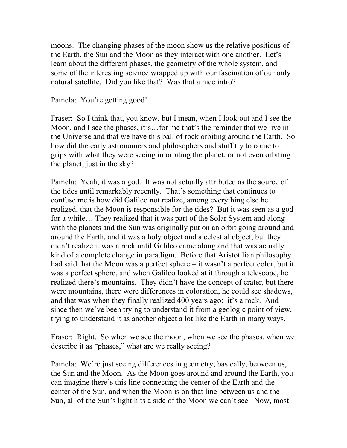moons. The changing phases of the moon show us the relative positions of the Earth, the Sun and the Moon as they interact with one another. Let's learn about the different phases, the geometry of the whole system, and some of the interesting science wrapped up with our fascination of our only natural satellite. Did you like that? Was that a nice intro?

Pamela: You're getting good!

Fraser: So I think that, you know, but I mean, when I look out and I see the Moon, and I see the phases, it's…for me that's the reminder that we live in the Universe and that we have this ball of rock orbiting around the Earth. So how did the early astronomers and philosophers and stuff try to come to grips with what they were seeing in orbiting the planet, or not even orbiting the planet, just in the sky?

Pamela: Yeah, it was a god. It was not actually attributed as the source of the tides until remarkably recently. That's something that continues to confuse me is how did Galileo not realize, among everything else he realized, that the Moon is responsible for the tides? But it was seen as a god for a while… They realized that it was part of the Solar System and along with the planets and the Sun was originally put on an orbit going around and around the Earth, and it was a holy object and a celestial object, but they didn't realize it was a rock until Galileo came along and that was actually kind of a complete change in paradigm. Before that Aristotilian philosophy had said that the Moon was a perfect sphere – it wasn't a perfect color, but it was a perfect sphere, and when Galileo looked at it through a telescope, he realized there's mountains. They didn't have the concept of crater, but there were mountains, there were differences in coloration, he could see shadows, and that was when they finally realized 400 years ago: it's a rock. And since then we've been trying to understand it from a geologic point of view, trying to understand it as another object a lot like the Earth in many ways.

Fraser: Right. So when we see the moon, when we see the phases, when we describe it as "phases," what are we really seeing?

Pamela: We're just seeing differences in geometry, basically, between us, the Sun and the Moon. As the Moon goes around and around the Earth, you can imagine there's this line connecting the center of the Earth and the center of the Sun, and when the Moon is on that line between us and the Sun, all of the Sun's light hits a side of the Moon we can't see. Now, most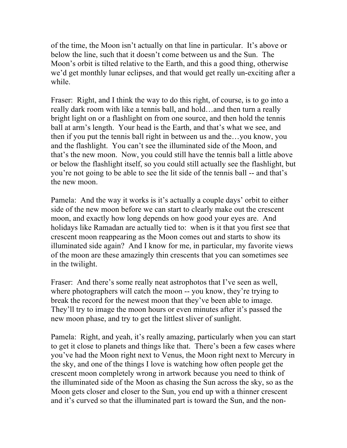of the time, the Moon isn't actually on that line in particular. It's above or below the line, such that it doesn't come between us and the Sun. The Moon's orbit is tilted relative to the Earth, and this a good thing, otherwise we'd get monthly lunar eclipses, and that would get really un-exciting after a while.

Fraser: Right, and I think the way to do this right, of course, is to go into a really dark room with like a tennis ball, and hold…and then turn a really bright light on or a flashlight on from one source, and then hold the tennis ball at arm's length. Your head is the Earth, and that's what we see, and then if you put the tennis ball right in between us and the…you know, you and the flashlight. You can't see the illuminated side of the Moon, and that's the new moon. Now, you could still have the tennis ball a little above or below the flashlight itself, so you could still actually see the flashlight, but you're not going to be able to see the lit side of the tennis ball -- and that's the new moon.

Pamela: And the way it works is it's actually a couple days' orbit to either side of the new moon before we can start to clearly make out the crescent moon, and exactly how long depends on how good your eyes are. And holidays like Ramadan are actually tied to: when is it that you first see that crescent moon reappearing as the Moon comes out and starts to show its illuminated side again? And I know for me, in particular, my favorite views of the moon are these amazingly thin crescents that you can sometimes see in the twilight.

Fraser: And there's some really neat astrophotos that I've seen as well, where photographers will catch the moon -- you know, they're trying to break the record for the newest moon that they've been able to image. They'll try to image the moon hours or even minutes after it's passed the new moon phase, and try to get the littlest sliver of sunlight.

Pamela: Right, and yeah, it's really amazing, particularly when you can start to get it close to planets and things like that. There's been a few cases where you've had the Moon right next to Venus, the Moon right next to Mercury in the sky, and one of the things I love is watching how often people get the crescent moon completely wrong in artwork because you need to think of the illuminated side of the Moon as chasing the Sun across the sky, so as the Moon gets closer and closer to the Sun, you end up with a thinner crescent and it's curved so that the illuminated part is toward the Sun, and the non-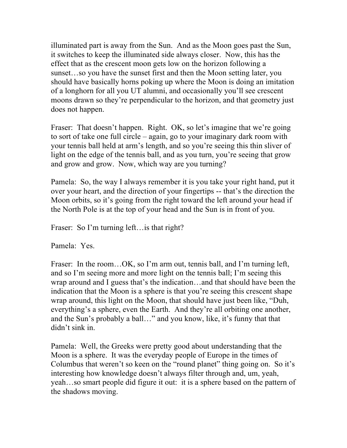illuminated part is away from the Sun. And as the Moon goes past the Sun, it switches to keep the illuminated side always closer. Now, this has the effect that as the crescent moon gets low on the horizon following a sunset…so you have the sunset first and then the Moon setting later, you should have basically horns poking up where the Moon is doing an imitation of a longhorn for all you UT alumni, and occasionally you'll see crescent moons drawn so they're perpendicular to the horizon, and that geometry just does not happen.

Fraser: That doesn't happen. Right. OK, so let's imagine that we're going to sort of take one full circle – again, go to your imaginary dark room with your tennis ball held at arm's length, and so you're seeing this thin sliver of light on the edge of the tennis ball, and as you turn, you're seeing that grow and grow and grow. Now, which way are you turning?

Pamela: So, the way I always remember it is you take your right hand, put it over your heart, and the direction of your fingertips -- that's the direction the Moon orbits, so it's going from the right toward the left around your head if the North Pole is at the top of your head and the Sun is in front of you.

Fraser: So I'm turning left... is that right?

Pamela: Yes.

Fraser: In the room...OK, so I'm arm out, tennis ball, and I'm turning left, and so I'm seeing more and more light on the tennis ball; I'm seeing this wrap around and I guess that's the indication…and that should have been the indication that the Moon is a sphere is that you're seeing this crescent shape wrap around, this light on the Moon, that should have just been like, "Duh, everything's a sphere, even the Earth. And they're all orbiting one another, and the Sun's probably a ball…" and you know, like, it's funny that that didn't sink in.

Pamela: Well, the Greeks were pretty good about understanding that the Moon is a sphere. It was the everyday people of Europe in the times of Columbus that weren't so keen on the "round planet" thing going on. So it's interesting how knowledge doesn't always filter through and, um, yeah, yeah…so smart people did figure it out: it is a sphere based on the pattern of the shadows moving.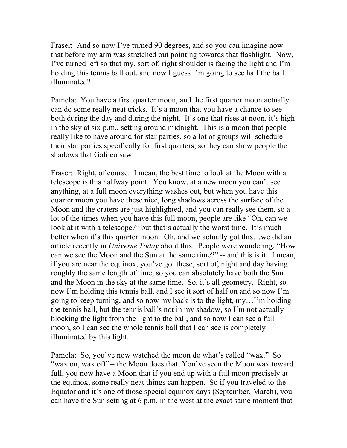Fraser: And so now I've turned 90 degrees, and so you can imagine now that before my arm was stretched out pointing towards that flashlight. Now, I've turned left so that my, sort of, right shoulder is facing the light and I'm holding this tennis ball out, and now I guess I'm going to see half the ball illuminated?

Pamela: You have a first quarter moon, and the first quarter moon actually can do some really neat tricks. It's a moon that you have a chance to see both during the day and during the night. It's one that rises at noon, it's high in the sky at six p.m., setting around midnight. This is a moon that people really like to have around for star parties, so a lot of groups will schedule their star parties specifically for first quarters, so they can show people the shadows that Galileo saw.

Fraser: Right, of course. I mean, the best time to look at the Moon with a telescope is this halfway point. You know, at a new moon you can't see anything, at a full moon everything washes out, but when you have this quarter moon you have these nice, long shadows across the surface of the Moon and the craters are just highlighted, and you can really see them, so a lot of the times when you have this full moon, people are like "Oh, can we look at it with a telescope?" but that's actually the worst time. It's much better when it's this quarter moon. Oh, and we actually got this…we did an article recently in *Universe Today* about this. People were wondering, "How can we see the Moon and the Sun at the same time?" -- and this is it. I mean, if you are near the equinox, you've got these, sort of, night and day having roughly the same length of time, so you can absolutely have both the Sun and the Moon in the sky at the same time. So, it's all geometry. Right, so now I'm holding this tennis ball, and I see it sort of half on and so now I'm going to keep turning, and so now my back is to the light, my…I'm holding the tennis ball, but the tennis ball's not in my shadow, so I'm not actually blocking the light from the light to the ball, and so now I can see a full moon, so I can see the whole tennis ball that I can see is completely illuminated by this light.

Pamela: So, you've now watched the moon do what's called "wax." So "wax on, wax off"-- the Moon does that. You've seen the Moon wax toward full, you now have a Moon that if you end up with a full moon precisely at the equinox, some really neat things can happen. So if you traveled to the Equator and it's one of those special equinox days (September, March), you can have the Sun setting at 6 p.m. in the west at the exact same moment that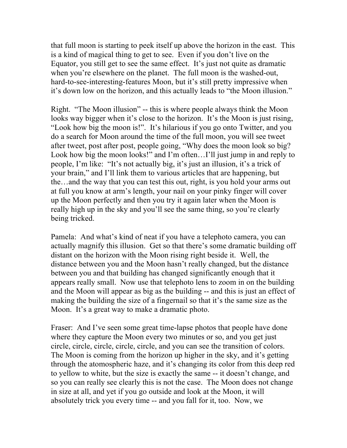that full moon is starting to peek itself up above the horizon in the east. This is a kind of magical thing to get to see. Even if you don't live on the Equator, you still get to see the same effect. It's just not quite as dramatic when you're elsewhere on the planet. The full moon is the washed-out, hard-to-see-interesting-features Moon, but it's still pretty impressive when it's down low on the horizon, and this actually leads to "the Moon illusion."

Right. "The Moon illusion" -- this is where people always think the Moon looks way bigger when it's close to the horizon. It's the Moon is just rising, "Look how big the moon is!". It's hilarious if you go onto Twitter, and you do a search for Moon around the time of the full moon, you will see tweet after tweet, post after post, people going, "Why does the moon look so big? Look how big the moon looks!" and I'm often...I'll just jump in and reply to people, I'm like: "It's not actually big, it's just an illusion, it's a trick of your brain," and I'll link them to various articles that are happening, but the…and the way that you can test this out, right, is you hold your arms out at full you know at arm's length, your nail on your pinky finger will cover up the Moon perfectly and then you try it again later when the Moon is really high up in the sky and you'll see the same thing, so you're clearly being tricked.

Pamela: And what's kind of neat if you have a telephoto camera, you can actually magnify this illusion. Get so that there's some dramatic building off distant on the horizon with the Moon rising right beside it. Well, the distance between you and the Moon hasn't really changed, but the distance between you and that building has changed significantly enough that it appears really small. Now use that telephoto lens to zoom in on the building and the Moon will appear as big as the building -- and this is just an effect of making the building the size of a fingernail so that it's the same size as the Moon. It's a great way to make a dramatic photo.

Fraser: And I've seen some great time-lapse photos that people have done where they capture the Moon every two minutes or so, and you get just circle, circle, circle, circle, circle, and you can see the transition of colors. The Moon is coming from the horizon up higher in the sky, and it's getting through the atomospheric haze, and it's changing its color from this deep red to yellow to white, but the size is exactly the same -- it doesn't change, and so you can really see clearly this is not the case. The Moon does not change in size at all, and yet if you go outside and look at the Moon, it will absolutely trick you every time -- and you fall for it, too. Now, we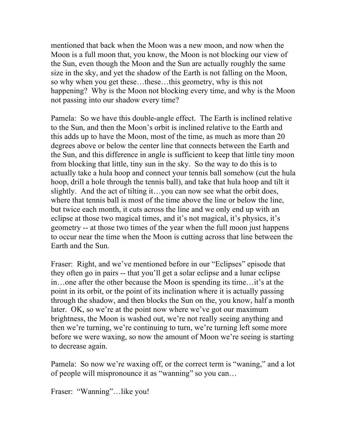mentioned that back when the Moon was a new moon, and now when the Moon is a full moon that, you know, the Moon is not blocking our view of the Sun, even though the Moon and the Sun are actually roughly the same size in the sky, and yet the shadow of the Earth is not falling on the Moon, so why when you get these…these…this geometry, why is this not happening? Why is the Moon not blocking every time, and why is the Moon not passing into our shadow every time?

Pamela: So we have this double-angle effect. The Earth is inclined relative to the Sun, and then the Moon's orbit is inclined relative to the Earth and this adds up to have the Moon, most of the time, as much as more than 20 degrees above or below the center line that connects between the Earth and the Sun, and this difference in angle is sufficient to keep that little tiny moon from blocking that little, tiny sun in the sky. So the way to do this is to actually take a hula hoop and connect your tennis ball somehow (cut the hula hoop, drill a hole through the tennis ball), and take that hula hoop and tilt it slightly. And the act of tilting it…you can now see what the orbit does, where that tennis ball is most of the time above the line or below the line, but twice each month, it cuts across the line and we only end up with an eclipse at those two magical times, and it's not magical, it's physics, it's geometry -- at those two times of the year when the full moon just happens to occur near the time when the Moon is cutting across that line between the Earth and the Sun.

Fraser: Right, and we've mentioned before in our "Eclipses" episode that they often go in pairs -- that you'll get a solar eclipse and a lunar eclipse in…one after the other because the Moon is spending its time…it's at the point in its orbit, or the point of its inclination where it is actually passing through the shadow, and then blocks the Sun on the, you know, half a month later. OK, so we're at the point now where we've got our maximum brightness, the Moon is washed out, we're not really seeing anything and then we're turning, we're continuing to turn, we're turning left some more before we were waxing, so now the amount of Moon we're seeing is starting to decrease again.

Pamela: So now we're waxing off, or the correct term is "waning," and a lot of people will mispronounce it as "wanning" so you can…

Fraser: "Wanning"…like you!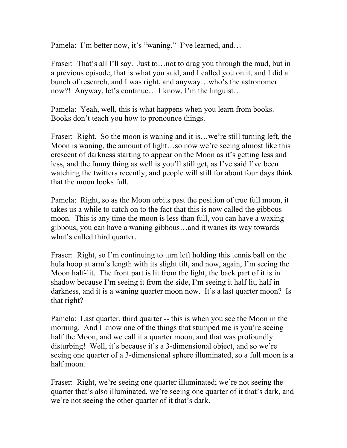Pamela: I'm better now, it's "waning." I've learned, and…

Fraser: That's all I'll say. Just to... not to drag you through the mud, but in a previous episode, that is what you said, and I called you on it, and I did a bunch of research, and I was right, and anyway…who's the astronomer now?! Anyway, let's continue… I know, I'm the linguist…

Pamela: Yeah, well, this is what happens when you learn from books. Books don't teach you how to pronounce things.

Fraser: Right. So the moon is waning and it is...we're still turning left, the Moon is waning, the amount of light…so now we're seeing almost like this crescent of darkness starting to appear on the Moon as it's getting less and less, and the funny thing as well is you'll still get, as I've said I've been watching the twitters recently, and people will still for about four days think that the moon looks full.

Pamela: Right, so as the Moon orbits past the position of true full moon, it takes us a while to catch on to the fact that this is now called the gibbous moon. This is any time the moon is less than full, you can have a waxing gibbous, you can have a waning gibbous…and it wanes its way towards what's called third quarter.

Fraser: Right, so I'm continuing to turn left holding this tennis ball on the hula hoop at arm's length with its slight tilt, and now, again, I'm seeing the Moon half-lit. The front part is lit from the light, the back part of it is in shadow because I'm seeing it from the side, I'm seeing it half lit, half in darkness, and it is a waning quarter moon now. It's a last quarter moon? Is that right?

Pamela: Last quarter, third quarter -- this is when you see the Moon in the morning. And I know one of the things that stumped me is you're seeing half the Moon, and we call it a quarter moon, and that was profoundly disturbing! Well, it's because it's a 3-dimensional object, and so we're seeing one quarter of a 3-dimensional sphere illuminated, so a full moon is a half moon.

Fraser: Right, we're seeing one quarter illuminated; we're not seeing the quarter that's also illuminated, we're seeing one quarter of it that's dark, and we're not seeing the other quarter of it that's dark.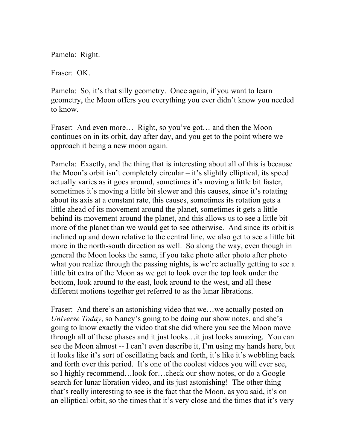Pamela: Right.

Fraser: OK.

Pamela: So, it's that silly geometry. Once again, if you want to learn geometry, the Moon offers you everything you ever didn't know you needed to know.

Fraser: And even more... Right, so you've got... and then the Moon continues on in its orbit, day after day, and you get to the point where we approach it being a new moon again.

Pamela: Exactly, and the thing that is interesting about all of this is because the Moon's orbit isn't completely circular – it's slightly elliptical, its speed actually varies as it goes around, sometimes it's moving a little bit faster, sometimes it's moving a little bit slower and this causes, since it's rotating about its axis at a constant rate, this causes, sometimes its rotation gets a little ahead of its movement around the planet, sometimes it gets a little behind its movement around the planet, and this allows us to see a little bit more of the planet than we would get to see otherwise. And since its orbit is inclined up and down relative to the central line, we also get to see a little bit more in the north-south direction as well. So along the way, even though in general the Moon looks the same, if you take photo after photo after photo what you realize through the passing nights, is we're actually getting to see a little bit extra of the Moon as we get to look over the top look under the bottom, look around to the east, look around to the west, and all these different motions together get referred to as the lunar librations.

Fraser: And there's an astonishing video that we...we actually posted on *Universe Today*, so Nancy's going to be doing our show notes, and she's going to know exactly the video that she did where you see the Moon move through all of these phases and it just looks…it just looks amazing. You can see the Moon almost -- I can't even describe it, I'm using my hands here, but it looks like it's sort of oscillating back and forth, it's like it's wobbling back and forth over this period. It's one of the coolest videos you will ever see, so I highly recommend…look for…check our show notes, or do a Google search for lunar libration video, and its just astonishing! The other thing that's really interesting to see is the fact that the Moon, as you said, it's on an elliptical orbit, so the times that it's very close and the times that it's very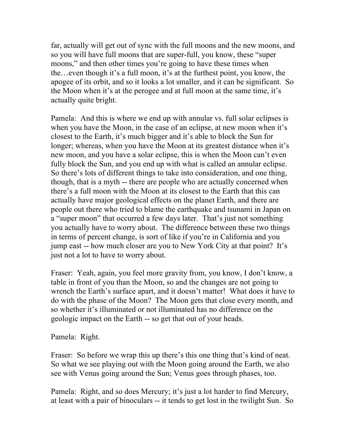far, actually will get out of sync with the full moons and the new moons, and so you will have full moons that are super-full, you know, these "super moons," and then other times you're going to have these times when the…even though it's a full moon, it's at the furthest point, you know, the apogee of its orbit, and so it looks a lot smaller, and it can be significant. So the Moon when it's at the perogee and at full moon at the same time, it's actually quite bright.

Pamela: And this is where we end up with annular vs. full solar eclipses is when you have the Moon, in the case of an eclipse, at new moon when it's closest to the Earth, it's much bigger and it's able to block the Sun for longer; whereas, when you have the Moon at its greatest distance when it's new moon, and you have a solar eclipse, this is when the Moon can't even fully block the Sun, and you end up with what is called an annular eclipse. So there's lots of different things to take into consideration, and one thing, though, that is a myth -- there are people who are actually concerned when there's a full moon with the Moon at its closest to the Earth that this can actually have major geological effects on the planet Earth, and there are people out there who tried to blame the earthquake and tsunami in Japan on a "super moon" that occurred a few days later. That's just not something you actually have to worry about. The difference between these two things in terms of percent change, is sort of like if you're in California and you jump east -- how much closer are you to New York City at that point? It's just not a lot to have to worry about.

Fraser: Yeah, again, you feel more gravity from, you know, I don't know, a table in front of you than the Moon, so and the changes are not going to wrench the Earth's surface apart, and it doesn't matter! What does it have to do with the phase of the Moon? The Moon gets that close every month, and so whether it's illuminated or not illuminated has no difference on the geologic impact on the Earth -- so get that out of your heads.

Pamela: Right.

Fraser: So before we wrap this up there's this one thing that's kind of neat. So what we see playing out with the Moon going around the Earth, we also see with Venus going around the Sun; Venus goes through phases, too.

Pamela: Right, and so does Mercury; it's just a lot harder to find Mercury, at least with a pair of binoculars -- it tends to get lost in the twilight Sun. So